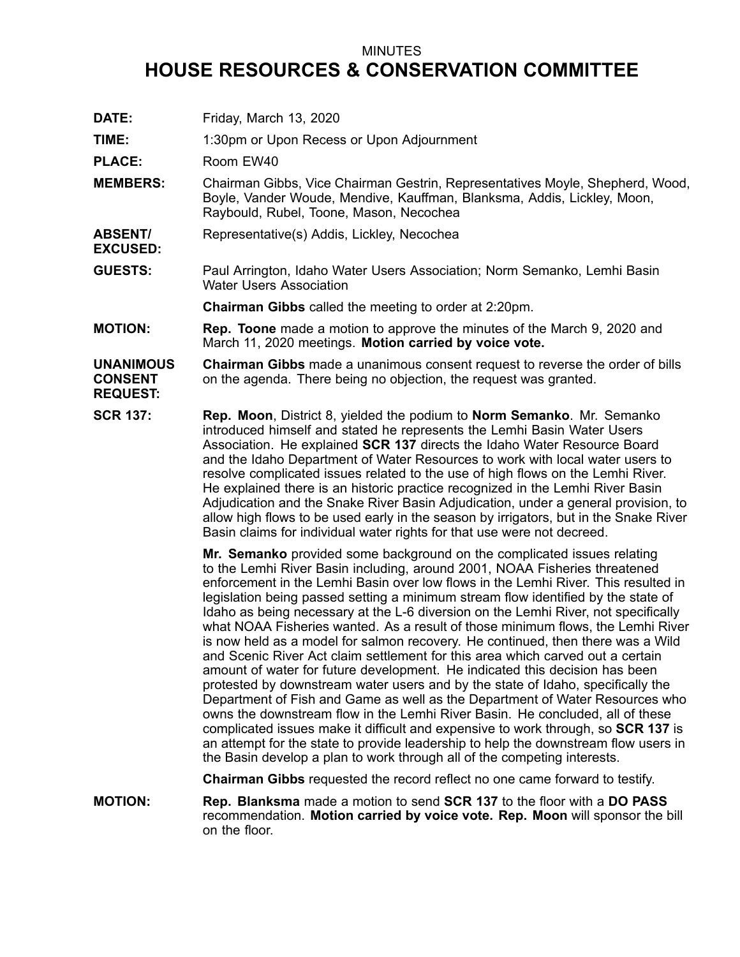## MINUTES

## **HOUSE RESOURCES & CONSERVATION COMMITTEE**

**DATE:** Friday, March 13, 2020 **TIME:** 1:30pm or Upon Recess or Upon Adjournment PLACE: Room EW40 **MEMBERS:** Chairman Gibbs, Vice Chairman Gestrin, Representatives Moyle, Shepherd, Wood, Boyle, Vander Woude, Mendive, Kauffman, Blanksma, Addis, Lickley, Moon, Raybould, Rubel, Toone, Mason, Necochea **ABSENT/ EXCUSED:** Representative(s) Addis, Lickley, Necochea **GUESTS:** Paul Arrington, Idaho Water Users Association; Norm Semanko, Lemhi Basin Water Users Association

**Chairman Gibbs** called the meeting to order at 2:20pm.

**MOTION: Rep. Toone** made <sup>a</sup> motion to approve the minutes of the March 9, 2020 and March 11, 2020 meetings. **Motion carried by voice vote.**

## **UNANIMOUS CONSENT REQUEST: Chairman Gibbs** made <sup>a</sup> unanimous consent request to reverse the order of bills on the agenda. There being no objection, the request was granted.

**SCR 137: Rep. Moon**, District 8, yielded the podium to **Norm Semanko**. Mr. Semanko introduced himself and stated he represents the Lemhi Basin Water Users Association. He explained **SCR 137** directs the Idaho Water Resource Board and the Idaho Department of Water Resources to work with local water users to resolve complicated issues related to the use of high flows on the Lemhi River. He explained there is an historic practice recognized in the Lemhi River Basin Adjudication and the Snake River Basin Adjudication, under <sup>a</sup> general provision, to allow high flows to be used early in the season by irrigators, but in the Snake River Basin claims for individual water rights for that use were not decreed.

> **Mr. Semanko** provided some background on the complicated issues relating to the Lemhi River Basin including, around 2001, NOAA Fisheries threatened enforcement in the Lemhi Basin over low flows in the Lemhi River. This resulted in legislation being passed setting <sup>a</sup> minimum stream flow identified by the state of Idaho as being necessary at the L-6 diversion on the Lemhi River, not specifically what NOAA Fisheries wanted. As <sup>a</sup> result of those minimum flows, the Lemhi River is now held as <sup>a</sup> model for salmon recovery. He continued, then there was <sup>a</sup> Wild and Scenic River Act claim settlement for this area which carved out a certain amount of water for future development. He indicated this decision has been protested by downstream water users and by the state of Idaho, specifically the Department of Fish and Game as well as the Department of Water Resources who owns the downstream flow in the Lemhi River Basin. He concluded, all of these complicated issues make it difficult and expensive to work through, so **SCR 137** is an attempt for the state to provide leadership to help the downstream flow users in the Basin develop <sup>a</sup> plan to work through all of the competing interests.

**Chairman Gibbs** requested the record reflect no one came forward to testify.

**MOTION: Rep. Blanksma** made <sup>a</sup> motion to send **SCR 137** to the floor with <sup>a</sup> **DO PASS** recommendation. **Motion carried by voice vote. Rep. Moon** will sponsor the bill on the floor.